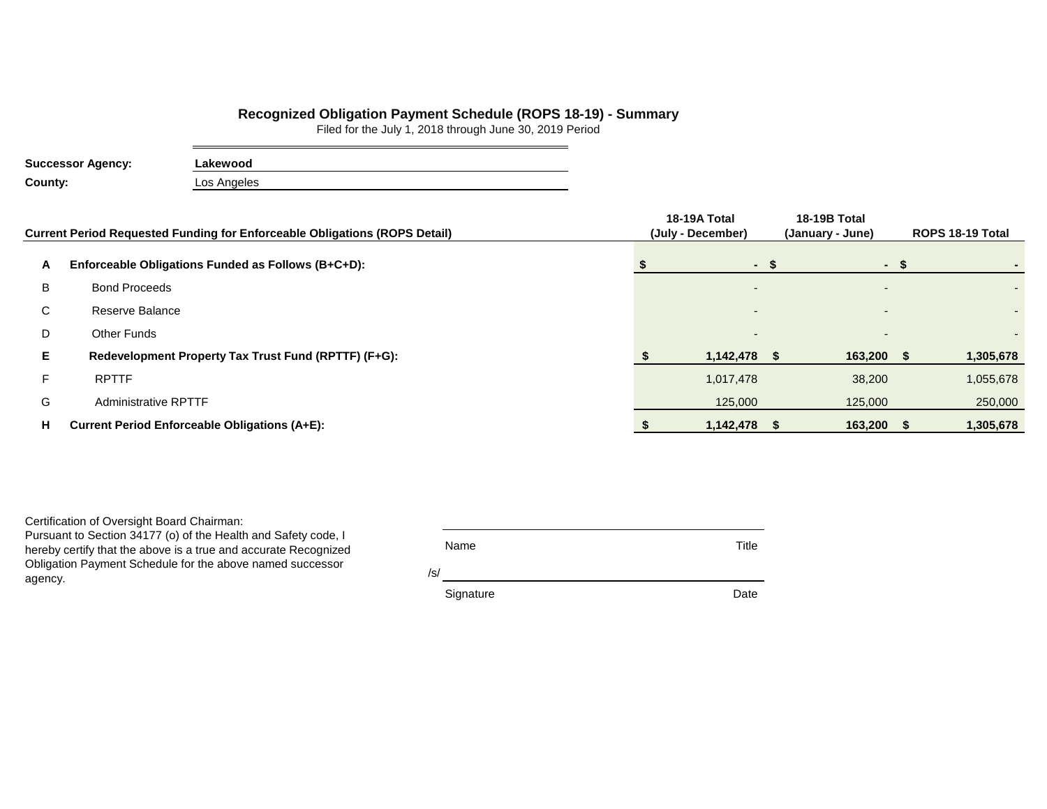## **Recognized Obligation Payment Schedule (ROPS 18-19) - Summary**

Filed for the July 1, 2018 through June 30, 2019 Period

| <b>Successor Agency:</b> | Lakewood    |
|--------------------------|-------------|
| County:                  | Los Angeles |

|    | Current Period Requested Funding for Enforceable Obligations (ROPS Detail) | 18-19A Total<br>(July - December) | 18-19B Total<br>(January - June) |      | ROPS 18-19 Total |
|----|----------------------------------------------------------------------------|-----------------------------------|----------------------------------|------|------------------|
| Α  | Enforceable Obligations Funded as Follows (B+C+D):                         | - \$                              |                                  | - \$ |                  |
| B  | <b>Bond Proceeds</b>                                                       |                                   |                                  |      | ۰.               |
| С  | Reserve Balance                                                            |                                   | $\overline{a}$                   |      | ۰.               |
| D  | <b>Other Funds</b>                                                         |                                   |                                  |      |                  |
| Е. | Redevelopment Property Tax Trust Fund (RPTTF) (F+G):                       | 1,142,478                         | 163,200 \$                       |      | 1,305,678        |
| F. | <b>RPTTF</b>                                                               | 1,017,478                         | 38,200                           |      | 1,055,678        |
| G  | <b>Administrative RPTTF</b>                                                | 125,000                           | 125,000                          |      | 250,000          |
| н  | <b>Current Period Enforceable Obligations (A+E):</b>                       | 1,142,478                         | 163,200                          |      | 1,305,678        |

Certification of Oversight Board Chairman:

Pursuant to Section 34177 (o) of the Health and Safety code, I hereby certify that the above is a true and accurate Recognized Obligation Payment Schedule for the above named successor agency.

| Name |  | Title |
|------|--|-------|
|      |  |       |

/s/

Signature **Date**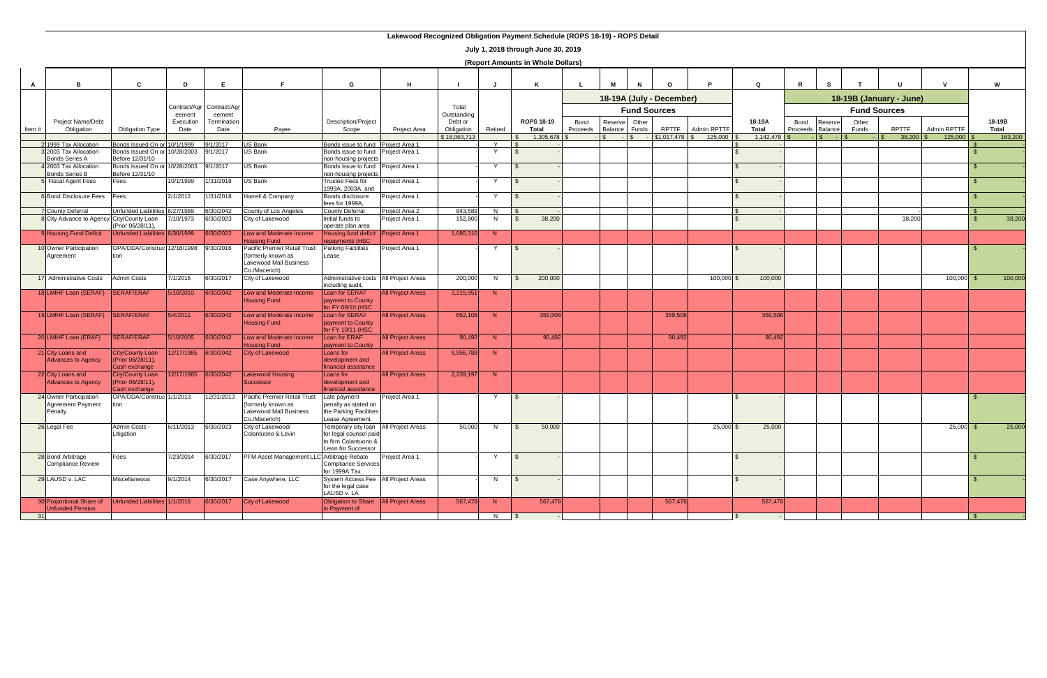|              |                                                               |                                                               |                   |                                     |                                                                                                     |                                                                                                                |                          |                       |         | July 1, 2010 through Julie 30, 2019<br>(Report Amounts in Whole Dollars) |                  |                                                                                                   |                |              |             |                        |                  |                    |                |              |                    |           |                 |
|--------------|---------------------------------------------------------------|---------------------------------------------------------------|-------------------|-------------------------------------|-----------------------------------------------------------------------------------------------------|----------------------------------------------------------------------------------------------------------------|--------------------------|-----------------------|---------|--------------------------------------------------------------------------|------------------|---------------------------------------------------------------------------------------------------|----------------|--------------|-------------|------------------------|------------------|--------------------|----------------|--------------|--------------------|-----------|-----------------|
| $\mathbf{A}$ | B                                                             | C                                                             | D                 | Е                                   | Е                                                                                                   | G                                                                                                              | H                        |                       | J       | K                                                                        |                  | м                                                                                                 |                | $\Omega$     |             | $\Omega$               | $\mathsf{R}$     |                    |                |              |                    |           | W               |
|              |                                                               |                                                               | eement            | Contract/Agr Contract/Agr<br>eement |                                                                                                     |                                                                                                                |                          | Total<br>Outstanding  |         |                                                                          |                  | 18-19A (July - December)<br>18-19B (January - June)<br><b>Fund Sources</b><br><b>Fund Sources</b> |                |              |             |                        |                  |                    |                |              |                    |           |                 |
| Item#        | <b>Project Name/Debt</b><br>Obligation                        | <b>Obligation Type</b>                                        | Execution<br>Date | Termination<br>Date                 | Payee                                                                                               | Description/Project<br>Scope                                                                                   | Project Area             | Debt or<br>Obligation | Retired | <b>ROPS 18-19</b><br><b>Total</b>                                        | Bond<br>Proceeds | Reserve<br>Balance                                                                                | Other<br>Funds | <b>RPTTF</b> | Admin RPTTF | 18-19A<br><b>Total</b> | Bond<br>Proceeds | Reserve<br>Balance | Other<br>Funds | <b>RPTTF</b> | Admin RPTTF        |           | 18-19B<br>Total |
|              | 21999 Tax Allocation                                          | Bonds Issued On or 10/1/1999                                  |                   | 9/1/2017                            | US Bank                                                                                             | Bonds issue to fund Project Area 1                                                                             |                          | \$18,063,713          | Y       | $1,305,678$ \$                                                           |                  |                                                                                                   |                | \$1,017,478  | 125,000     | 1,142,478              |                  |                    |                |              | $125,000$ $\mid$ 3 |           | 163,200         |
|              | 32003 Tax Allocation<br><b>Bonds Series A</b>                 | Bonds Issued On or 10/28/2003<br>Before 12/31/10              |                   | 9/1/2017                            | <b>US Bank</b>                                                                                      | Bonds issue to fund<br>non-housing projects                                                                    | Project Area 1           |                       | Y       |                                                                          |                  |                                                                                                   |                |              |             |                        |                  |                    |                |              |                    |           |                 |
|              | 4 2003 Tax Allocation                                         | Bonds Issued On or 10/28/2003                                 |                   | 9/1/2017                            | US Bank                                                                                             | Bonds issue to fund                                                                                            | Project Area 1           |                       | Y       |                                                                          |                  |                                                                                                   |                |              |             |                        |                  |                    |                |              |                    |           |                 |
|              | <b>Bonds Series B</b><br><b>5</b> Fiscal Agent Fees           | Before 12/31/10<br>Fees                                       | 10/1/1999         | 1/31/2018                           | US Bank                                                                                             | non-housing projects<br><b>Trustee Fees for</b><br>1999A, 2003A, and                                           | Project Area 1           |                       | Y       |                                                                          |                  |                                                                                                   |                |              |             |                        |                  |                    |                |              |                    |           |                 |
|              | 6 Bond Disclosure Fees                                        | Fees                                                          | 2/1/2012          | 1/31/2018                           | <b>Harrell &amp; Company</b>                                                                        | Bonds disclosure<br>fees for 1999A,                                                                            | Project Area 1           |                       | Y       |                                                                          |                  |                                                                                                   |                |              |             |                        |                  |                    |                |              |                    |           |                 |
|              | <b>7</b> County Deferral                                      | Unfunded Liabilities 6/27/1989                                |                   | 6/30/2042                           | County of Los Angeles                                                                               | <b>County Deferral</b>                                                                                         | Project Area 2           | 843,589               | N       |                                                                          |                  |                                                                                                   |                |              |             |                        |                  |                    |                |              |                    |           |                 |
|              | 8 City Advance to Agency City/County Loan                     | (Prior 06/28/11),                                             | 7/10/1973         | 6/30/2023                           | City of Lakewood                                                                                    | Initial funds to<br>operate plan area                                                                          | Project Area 1           | 152,800               | N       | 38,200<br>- S                                                            |                  |                                                                                                   |                |              |             |                        |                  |                    |                | 38,200       |                    | <b>\$</b> | 38,200          |
|              | 9Housing Fund Deficit                                         | Unfunded Liabilities 6/30/1999                                |                   | 6/30/2022                           | Low and Moderate Income<br><b>Housing Fund</b>                                                      | Housing fund deficit<br>repayments (HSC                                                                        | <b>Project Area 1</b>    | 1,085,310             | N       |                                                                          |                  |                                                                                                   |                |              |             |                        |                  |                    |                |              |                    |           |                 |
|              | 10 Owner Participation<br>Agreement                           | OPA/DDA/Construc 12/16/1998<br>tion                           |                   | 9/30/2016                           | Pacific Premier Retail Trust<br>formerly known as<br><b>Lakewood Mall Business</b><br>Co./Macerich) | <b>Parking Facilities</b><br>Lease                                                                             | Project Area 1           |                       | Y       |                                                                          |                  |                                                                                                   |                |              |             |                        |                  |                    |                |              |                    |           |                 |
|              | 17 Administrative Costs                                       | <b>Admin Costs</b>                                            | 7/1/2016          | 6/30/2017                           | City of Lakewood                                                                                    | Administrative costs   All Project Areas<br>including audit,                                                   |                          | 200,000               | N       | 200,000                                                                  |                  |                                                                                                   |                |              | 100,000 \$  | 100,000                |                  |                    |                |              | $100,000$ \$       |           | 100,000         |
|              | 18 LMIHF Loan (SERAF)                                         | <b>SERAF/ERAF</b>                                             | 5/10/2010         | 6/30/2042                           | Low and Moderate Income<br><b>Housing Fund</b>                                                      | Loan for SERAF<br>payment to County<br>for FY 09/10 (HSC                                                       | <b>All Project Areas</b> | 3,215,951             | N       |                                                                          |                  |                                                                                                   |                |              |             |                        |                  |                    |                |              |                    |           |                 |
|              | 19 LMIHF Loan (SERAF)                                         | <b>SERAF/ERAF</b>                                             | 5/4/2011          | 6/30/2042                           | Low and Moderate Income<br><b>Housing Fund</b>                                                      | Loan for SERAF<br>payment to County<br>for FY 10/11 (HSC                                                       | <b>All Project Areas</b> | 662,108               | N       | 359,508                                                                  |                  |                                                                                                   |                | 359,508      |             | 359,508                |                  |                    |                |              |                    |           |                 |
|              | 20 LMIHF Loan (ERAF)                                          | <b>SERAF/ERAF</b>                                             | 5/10/2005         | 6/30/2042                           | Low and Moderate Income<br><b>Housing Fund</b>                                                      | Loan for ERAF<br>payment to County                                                                             | <b>All Project Areas</b> | 90,492                | N       | 90,492                                                                   |                  |                                                                                                   |                | 90,492       |             | 90,492                 |                  |                    |                |              |                    |           |                 |
|              | 21 City Loans and<br><b>Advances to Agency</b>                | <b>City/County Loan</b><br>(Prior 06/28/11),<br>Cash exchange | 12/17/1985        | 6/30/2042                           | <b>City of Lakewood</b>                                                                             | Loans for<br>development and<br>financial assistance                                                           | <b>All Project Areas</b> | 8,956,788             | N       |                                                                          |                  |                                                                                                   |                |              |             |                        |                  |                    |                |              |                    |           |                 |
|              | 22 City Loans and<br><b>Advances to Agency</b>                | <b>City/County Loan</b><br>(Prior 06/28/11),<br>Cash exchange | 12/17/1985        | 6/30/2042                           | <b>Lakewood Housing</b><br><b>Successor</b>                                                         | Loans for<br>development and<br>financial assistance                                                           | <b>All Project Areas</b> | 2,239,197             | N       |                                                                          |                  |                                                                                                   |                |              |             |                        |                  |                    |                |              |                    |           |                 |
|              | 24 Owner Participation<br><b>Agreement Payment</b><br>Penalty | OPA/DDA/Construc 1/1/2013<br>tion                             |                   | 12/31/2013                          | Pacific Premier Retail Trust<br>formerly known as<br><b>Lakewood Mall Business</b><br>Co./Macerich) | Late payment<br>penalty as stated on<br>the Parking Facilities<br>ease Agreement.                              | Project Area 1           |                       | Y       |                                                                          |                  |                                                                                                   |                |              |             |                        |                  |                    |                |              |                    |           |                 |
|              | 26 Legal Fee                                                  | Admin Costs -<br>Litigation                                   | 6/11/2013         | 6/30/2023                           | City of Lakewood/<br>Colantuono & Levin                                                             | Temporary city loan All Project Areas<br>for legal counsel paid<br>to firm Colantuono &<br>Levin for Successor |                          | 50,000                | N.      | 50,000                                                                   |                  |                                                                                                   |                |              | $25,000$ \$ | 25,000                 |                  |                    |                |              | $25,000$ \$        |           | 25,000          |
|              | 28 Bond Arbitrage<br>Compliance Review                        | Fees                                                          | 7/23/2014         | 6/30/2017                           | PFM Asset Management LLC Arbitrage Rebate                                                           | Compliance Services<br>for 1999A Tax                                                                           | Project Area 1           |                       | Y       | \$                                                                       |                  |                                                                                                   |                |              |             |                        |                  |                    |                |              |                    |           |                 |
|              | 29 LAUSD v. LAC                                               | Miscellaneous                                                 | 9/1/2014          | 6/30/2017                           | Case Anywhere, LLC                                                                                  | System Access Fee All Project Areas<br>for the legal case<br>LAUSD v. LA                                       |                          |                       | N       |                                                                          |                  |                                                                                                   |                |              |             |                        |                  |                    |                |              |                    |           |                 |
|              | 30 Proportional Share of<br>Unfunded Pension                  | Unfunded Liabilities 1/1/2016                                 |                   | 6/30/2017                           | <b>City of Lakewood</b>                                                                             | Obligation to Share   All Project Areas<br>in Payment of                                                       |                          | 567,478               | N       | 567,478                                                                  |                  |                                                                                                   |                | 567,478      |             | 567,478                |                  |                    |                |              |                    |           |                 |
| 31           |                                                               |                                                               |                   |                                     |                                                                                                     |                                                                                                                |                          |                       | N       |                                                                          |                  |                                                                                                   |                |              |             |                        |                  |                    |                |              |                    |           |                 |

## **Lakewood Recognized Obligation Payment Schedule (ROPS 18-19) - ROPS Detail**

**July 1, 2018 through June 30, 2019**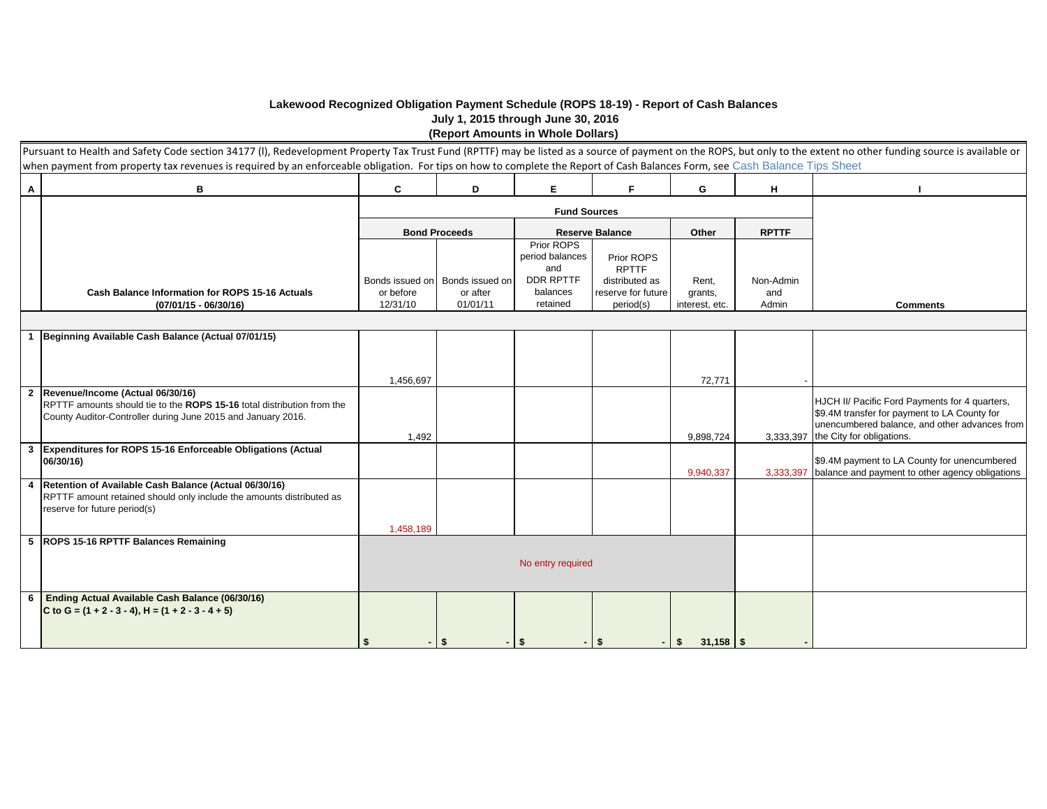## **Lakewood Recognized Obligation Payment Schedule (ROPS 18-19) - Report of Cash Balances July 1, 2015 through June 30, 2016 (Report Amounts in Whole Dollars)**

|                | Pursuant to Health and Safety Code section 34177 (I), Redevelopment Property Tax Trust Fund (RPTTF) may be listed as a source of payment on the ROPS, but only to the extent no other funding source is available or<br>when payment from property tax revenues is required by an enforceable obligation. For tips on how to complete the Report of Cash Balances Form, see Cash Balance Tips Sheet |                    |                                   |                                                          |                                              |                        |              |                                                                                                                                                                                        |
|----------------|-----------------------------------------------------------------------------------------------------------------------------------------------------------------------------------------------------------------------------------------------------------------------------------------------------------------------------------------------------------------------------------------------------|--------------------|-----------------------------------|----------------------------------------------------------|----------------------------------------------|------------------------|--------------|----------------------------------------------------------------------------------------------------------------------------------------------------------------------------------------|
| $\mathbf{A}$   | В                                                                                                                                                                                                                                                                                                                                                                                                   | C                  | D                                 | Е                                                        | F                                            | G                      | н            |                                                                                                                                                                                        |
|                |                                                                                                                                                                                                                                                                                                                                                                                                     |                    |                                   | <b>Fund Sources</b>                                      |                                              |                        |              |                                                                                                                                                                                        |
|                |                                                                                                                                                                                                                                                                                                                                                                                                     |                    | <b>Bond Proceeds</b>              |                                                          | <b>Reserve Balance</b>                       | Other                  | <b>RPTTF</b> |                                                                                                                                                                                        |
|                |                                                                                                                                                                                                                                                                                                                                                                                                     |                    | Bonds issued on   Bonds issued on | Prior ROPS<br>period balances<br>and<br><b>DDR RPTTF</b> | Prior ROPS<br><b>RPTTF</b><br>distributed as | Rent,                  | Non-Admin    |                                                                                                                                                                                        |
|                | <b>Cash Balance Information for ROPS 15-16 Actuals</b>                                                                                                                                                                                                                                                                                                                                              | or before          | or after                          | balances<br>retained                                     | reserve for future                           | grants,                | and          |                                                                                                                                                                                        |
|                | $(07/01/15 - 06/30/16)$                                                                                                                                                                                                                                                                                                                                                                             | 12/31/10           | 01/01/11                          |                                                          | period(s)                                    | interest, etc.         | Admin        | <b>Comments</b>                                                                                                                                                                        |
| $\mathbf{1}$   | Beginning Available Cash Balance (Actual 07/01/15)                                                                                                                                                                                                                                                                                                                                                  |                    |                                   |                                                          |                                              |                        |              |                                                                                                                                                                                        |
| $\overline{2}$ | Revenue/Income (Actual 06/30/16)<br>RPTTF amounts should tie to the ROPS 15-16 total distribution from the<br>County Auditor-Controller during June 2015 and January 2016.                                                                                                                                                                                                                          | 1,456,697<br>1,492 |                                   |                                                          |                                              | 72,771<br>9,898,724    |              | HJCH II/ Pacific Ford Payments for 4 quarters,<br>\$9.4M transfer for payment to LA County for<br>unencumbered balance, and other advances from<br>3,333,397 the City for obligations. |
| $\mathbf{3}$   | Expenditures for ROPS 15-16 Enforceable Obligations (Actual<br>06/30/16)                                                                                                                                                                                                                                                                                                                            |                    |                                   |                                                          |                                              | 9,940,337              | 3,333,397    | \$9.4M payment to LA County for unencumbered<br>balance and payment to other agency obligations                                                                                        |
| $\overline{4}$ | Retention of Available Cash Balance (Actual 06/30/16)<br>RPTTF amount retained should only include the amounts distributed as<br>reserve for future period(s)                                                                                                                                                                                                                                       | 1,458,189          |                                   |                                                          |                                              |                        |              |                                                                                                                                                                                        |
|                | 5 ROPS 15-16 RPTTF Balances Remaining                                                                                                                                                                                                                                                                                                                                                               |                    |                                   | No entry required                                        |                                              |                        |              |                                                                                                                                                                                        |
| 6              | Ending Actual Available Cash Balance (06/30/16)<br>C to G = $(1 + 2 - 3 - 4)$ , H = $(1 + 2 - 3 - 4 + 5)$                                                                                                                                                                                                                                                                                           | \$                 | -\$                               | -\$                                                      | $-1$ \$                                      | $31,158$ \$<br>$-1$ \$ |              |                                                                                                                                                                                        |